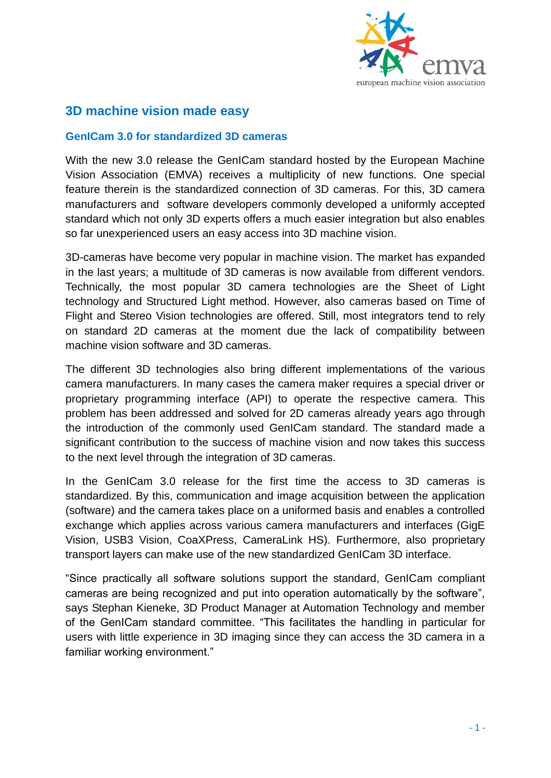

## **3D machine vision made easy**

## **GenICam 3.0 for standardized 3D cameras**

With the new 3.0 release the GenICam standard hosted by the European Machine Vision Association (EMVA) receives a multiplicity of new functions. One special feature therein is the standardized connection of 3D cameras. For this, 3D camera manufacturers and software developers commonly developed a uniformly accepted standard which not only 3D experts offers a much easier integration but also enables so far unexperienced users an easy access into 3D machine vision.

3D-cameras have become very popular in machine vision. The market has expanded in the last years; a multitude of 3D cameras is now available from different vendors. Technically, the most popular 3D camera technologies are the Sheet of Light technology and Structured Light method. However, also cameras based on Time of Flight and Stereo Vision technologies are offered. Still, most integrators tend to rely on standard 2D cameras at the moment due the lack of compatibility between machine vision software and 3D cameras.

The different 3D technologies also bring different implementations of the various camera manufacturers. In many cases the camera maker requires a special driver or proprietary programming interface (API) to operate the respective camera. This problem has been addressed and solved for 2D cameras already years ago through the introduction of the commonly used GenICam standard. The standard made a significant contribution to the success of machine vision and now takes this success to the next level through the integration of 3D cameras.

In the GenICam 3.0 release for the first time the access to 3D cameras is standardized. By this, communication and image acquisition between the application (software) and the camera takes place on a uniformed basis and enables a controlled exchange which applies across various camera manufacturers and interfaces (GigE Vision, USB3 Vision, CoaXPress, CameraLink HS). Furthermore, also proprietary transport layers can make use of the new standardized GenICam 3D interface.

"Since practically all software solutions support the standard, GenICam compliant cameras are being recognized and put into operation automatically by the software", says Stephan Kieneke, 3D Product Manager at Automation Technology and member of the GenICam standard committee. "This facilitates the handling in particular for users with little experience in 3D imaging since they can access the 3D camera in a familiar working environment."